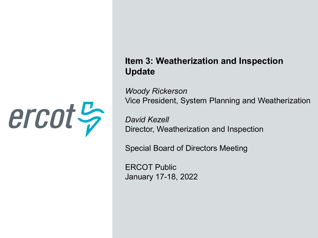

#### **Item 3: Weatherization and Inspection Update**

*Woody Rickerson* Vice President, System Planning and Weatherization

*David Kezell* Director, Weatherization and Inspection

Special Board of Directors Meeting

ERCOT Public January 17-18, 2022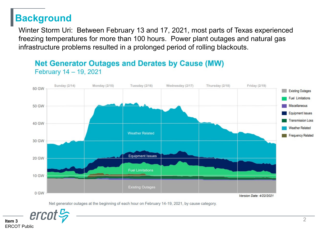## **Background**

Winter Storm Uri: Between February 13 and 17, 2021, most parts of Texas experienced freezing temperatures for more than 100 hours. Power plant outages and natural gas infrastructure problems resulted in a prolonged period of rolling blackouts.

#### Sunday (2/14) Monday (2/15) Tuesday (2/16) Wednesday (2/17) Thursday (2/18) Friday (2/19) 60 GW **Existing Outages Fuel Limitations** Miscellaneous **50 GW Equipment Issues Transmission Loss 40 GW Weather Related Weather Related Frequency Related 30 GW Equipment Issues 20 GW Fuel Limitations 10 GW Existing Outages** 0 GW Version Date: 4/22/2021

#### **Net Generator Outages and Derates by Cause (MW)** February 14 - 19, 2021

Net generator outages at the beginning of each hour on February 14-19, 2021, by cause category.



**Item 3**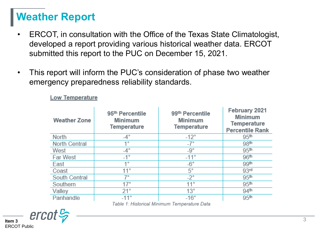# **Weather Report**

- ERCOT, in consultation with the Office of the Texas State Climatologist, developed a report providing various historical weather data. ERCOT submitted this report to the PUC on December 15, 2021.
- This report will inform the PUC's consideration of phase two weather emergency preparedness reliability standards.

| <b>Weather Zone</b> | 95 <sup>th</sup> Percentile<br><b>Minimum</b><br>Temperature | 99th Percentile<br><b>Minimum</b><br>Temperature | February 2021<br><b>Minimum</b><br><b>Temperature</b><br><b>Percentile Rank</b> |
|---------------------|--------------------------------------------------------------|--------------------------------------------------|---------------------------------------------------------------------------------|
| North               | $-4^\circ$                                                   | $-12^\circ$                                      | 95 <sup>th</sup>                                                                |
| North Central       | 1°                                                           | $-7^\circ$                                       | 98 <sup>th</sup>                                                                |
| West                | $-4^\circ$                                                   | $-9^{\circ}$                                     | 95 <sup>th</sup>                                                                |
| Far West            | $-1^{\circ}$                                                 | $-11$ °                                          | 96 <sup>th</sup>                                                                |
| East                | 40                                                           | $-6^{\circ}$                                     | 99 <sup>th</sup>                                                                |
| Coast               | $11^{\circ}$                                                 | $5^\circ$                                        | 93 <sup>rd</sup>                                                                |
| South Central       | 7°                                                           | $-2^{\circ}$                                     | 95 <sup>th</sup>                                                                |
| Southern            | 17°                                                          | $11^{\circ}$                                     | 95 <sup>th</sup>                                                                |
| Valley              | 21°                                                          | $13^\circ$                                       | 94 <sup>th</sup>                                                                |
| Panhandle           | $-11^\circ$                                                  | $-16^\circ$                                      | 95 <sup>th</sup>                                                                |
|                     |                                                              | エントレース・フリント・ジー・トルビング ニュー・エー・エー・エー・エー・ロール         |                                                                                 |

**Low Temperature** 

Table 1: Historical Minimum Temperature Data

 $\textit{ercot}\, \frac{\mu}{\gamma}$ **Item 3** ERCOT Public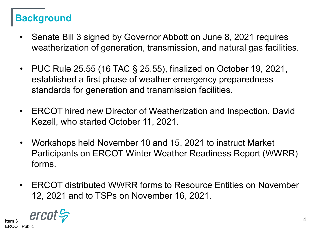## **Background**

- Senate Bill 3 signed by Governor Abbott on June 8, 2021 requires weatherization of generation, transmission, and natural gas facilities.
- PUC Rule 25.55 (16 TAC § 25.55), finalized on October 19, 2021, established a first phase of weather emergency preparedness standards for generation and transmission facilities.
- ERCOT hired new Director of Weatherization and Inspection, David Kezell, who started October 11, 2021.
- Workshops held November 10 and 15, 2021 to instruct Market Participants on ERCOT Winter Weather Readiness Report (WWRR) forms.
- ERCOT distributed WWRR forms to Resource Entities on November 12, 2021 and to TSPs on November 16, 2021.

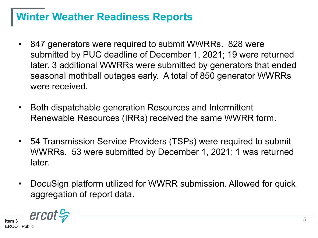# **Winter Weather Readiness Reports**

- 847 generators were required to submit WWRRs. 828 were submitted by PUC deadline of December 1, 2021; 19 were returned later. 3 additional WWRRs were submitted by generators that ended seasonal mothball outages early. A total of 850 generator WWRRs were received.
- Both dispatchable generation Resources and Intermittent Renewable Resources (IRRs) received the same WWRR form.
- 54 Transmission Service Providers (TSPs) were required to submit WWRRs. 53 were submitted by December 1, 2021; 1 was returned later.
- DocuSign platform utilized for WWRR submission. Allowed for quick aggregation of report data.

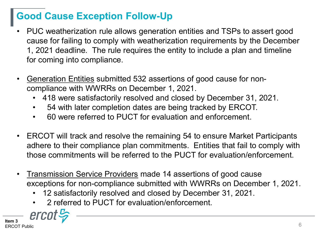## **Good Cause Exception Follow-Up**

- PUC weatherization rule allows generation entities and TSPs to assert good cause for failing to comply with weatherization requirements by the December 1, 2021 deadline. The rule requires the entity to include a plan and timeline for coming into compliance.
- Generation Entities submitted 532 assertions of good cause for noncompliance with WWRRs on December 1, 2021.
	- 418 were satisfactorily resolved and closed by December 31, 2021.
	- 54 with later completion dates are being tracked by ERCOT.
	- 60 were referred to PUCT for evaluation and enforcement.
- ERCOT will track and resolve the remaining 54 to ensure Market Participants adhere to their compliance plan commitments. Entities that fail to comply with those commitments will be referred to the PUCT for evaluation/enforcement.
- Transmission Service Providers made 14 assertions of good cause exceptions for non-compliance submitted with WWRRs on December 1, 2021.
	- 12 satisfactorily resolved and closed by December 31, 2021.
	- 2 referred to PUCT for evaluation/enforcement.

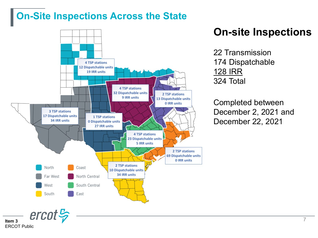#### **On-Site Inspections Across the State**



## **On-site Inspections**

22 Transmission 174 Dispatchable 128 IRR 324 Total

Completed between December 2, 2021 and December 22, 2021

**Item 3** ERCOT Public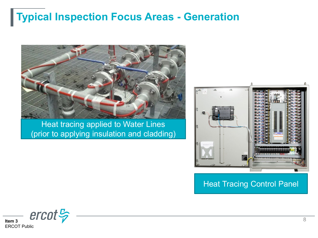# **Typical Inspection Focus Areas - Generation**



Heat tracing applied to Water Lines (prior to applying insulation and cladding)



Heat Tracing Control Panel

 $\text{ercot}\frac{\mathcal{L}}{\mathcal{V}}$ **Item 3** ERCOT Public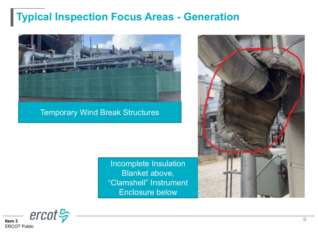# **Typical Inspection Focus Areas - Generation**



Temporary Wind Break Structures

Incomplete Insulation Blanket above, "Clamshell" Instrument Enclosure below



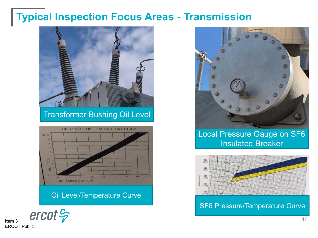## **Typical Inspection Focus Areas - Transmission**



#### Transformer Bushing Oil Level



Oil Level/Temperature Curve



Local Pressure Gauge on SF6 Insulated Breaker



SF6 Pressure/Temperature Curve

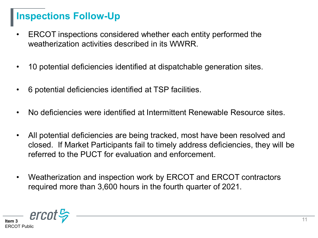### **Inspections Follow-Up**

- ERCOT inspections considered whether each entity performed the weatherization activities described in its WWRR
- 10 potential deficiencies identified at dispatchable generation sites.
- 6 potential deficiencies identified at TSP facilities.
- No deficiencies were identified at Intermittent Renewable Resource sites.
- All potential deficiencies are being tracked, most have been resolved and closed. If Market Participants fail to timely address deficiencies, they will be referred to the PUCT for evaluation and enforcement.
- Weatherization and inspection work by ERCOT and ERCOT contractors required more than 3,600 hours in the fourth quarter of 2021.